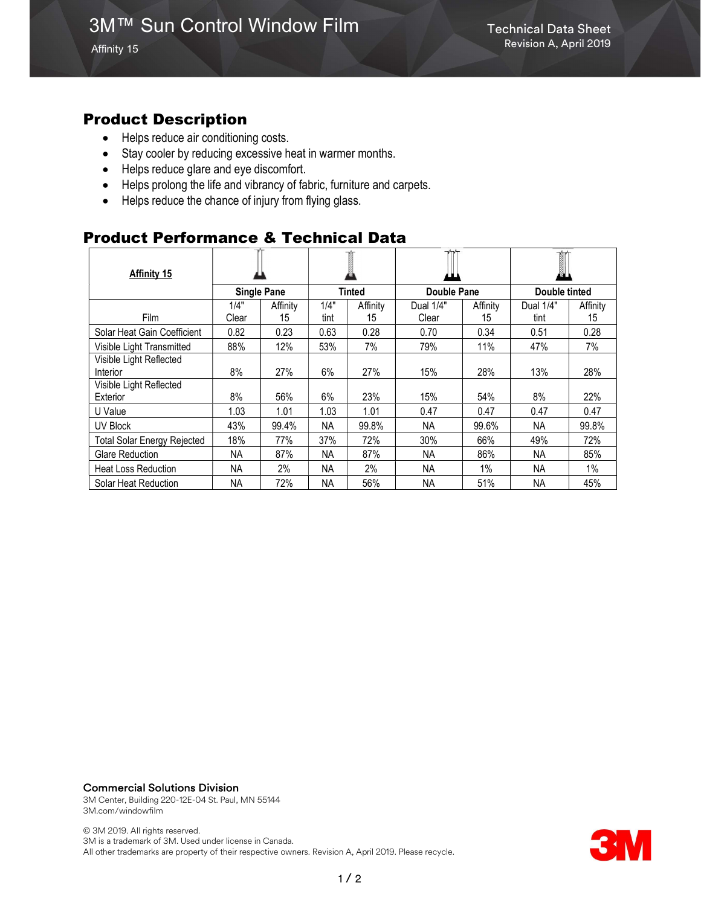Affinity 15

### Product Description

- Helps reduce air conditioning costs.
- Stay cooler by reducing excessive heat in warmer months.
- Helps reduce glare and eye discomfort.
- Helps prolong the life and vibrancy of fabric, furniture and carpets.
- Helps reduce the chance of injury from flying glass.

## Product Performance & Technical Data

| <b>Affinity 15</b>                 |                    |          |               |          |             |          | I             |          |
|------------------------------------|--------------------|----------|---------------|----------|-------------|----------|---------------|----------|
|                                    | <b>Single Pane</b> |          | <b>Tinted</b> |          | Double Pane |          | Double tinted |          |
|                                    | 1/4"               | Affinity | 1/4"          | Affinity | Dual 1/4"   | Affinity | Dual 1/4"     | Affinity |
| Film                               | Clear              | 15       | tint          | 15       | Clear       | 15       | tint          | 15       |
| Solar Heat Gain Coefficient        | 0.82               | 0.23     | 0.63          | 0.28     | 0.70        | 0.34     | 0.51          | 0.28     |
| Visible Light Transmitted          | 88%                | 12%      | 53%           | 7%       | 79%         | 11%      | 47%           | 7%       |
| Visible Light Reflected            |                    |          |               |          |             |          |               |          |
| Interior                           | 8%                 | 27%      | 6%            | 27%      | 15%         | 28%      | 13%           | 28%      |
| Visible Light Reflected            |                    |          |               |          |             |          |               |          |
| Exterior                           | 8%                 | 56%      | 6%            | 23%      | 15%         | 54%      | 8%            | 22%      |
| U Value                            | 1.03               | 1.01     | 1.03          | 1.01     | 0.47        | 0.47     | 0.47          | 0.47     |
| UV Block                           | 43%                | 99.4%    | <b>NA</b>     | 99.8%    | <b>NA</b>   | 99.6%    | <b>NA</b>     | 99.8%    |
| <b>Total Solar Energy Rejected</b> | 18%                | 77%      | 37%           | 72%      | 30%         | 66%      | 49%           | 72%      |
| <b>Glare Reduction</b>             | NA.                | 87%      | <b>NA</b>     | 87%      | ΝA          | 86%      | NA.           | 85%      |
| <b>Heat Loss Reduction</b>         | <b>NA</b>          | 2%       | <b>NA</b>     | 2%       | <b>NA</b>   | 1%       | <b>NA</b>     | $1\%$    |
| Solar Heat Reduction               | <b>NA</b>          | 72%      | <b>NA</b>     | 56%      | <b>NA</b>   | 51%      | NА            | 45%      |

#### Commercial Solutions Division

3M Center, Building 220-12E-04 St. Paul, MN 55144 3M.com/windowfilm

© 3M 2019. All rights reserved. 3M is a trademark of 3M. Used under license in Canada. All other trademarks are property of their respective owners. Revision A, April 2019. Please recycle.